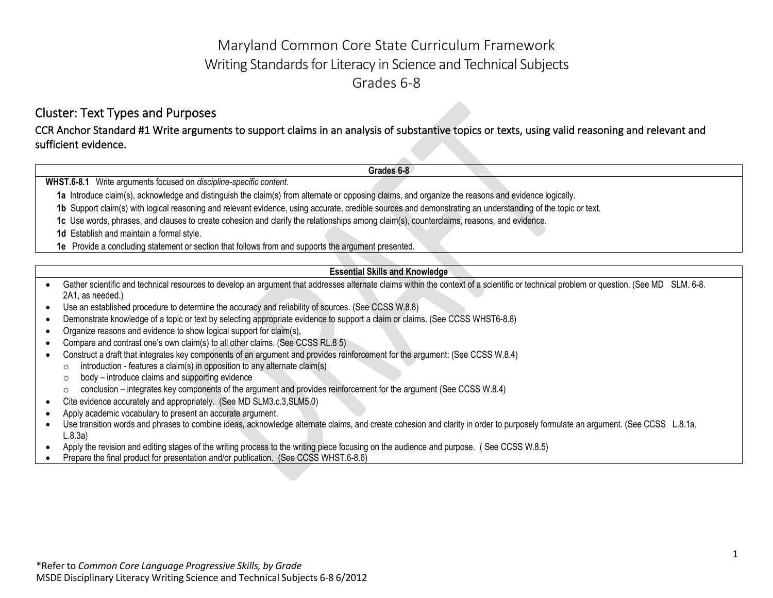# Maryland Common Core State Curriculum Framework Writing Standards for Literacy in Science and Technical Subjects Grades 6-8

### Cluster: Text Types and Purposes

CCR Anchor Standard #1 Write arguments to support claims in an analysis of substantive topics or texts, using valid reasoning and relevant and sufficient evidence.

**WHST.6-8.1** Write arguments focused on *discipline-specific content*.

**1a** Introduce claim(s), acknowledge and distinguish the claim(s) from alternate or opposing claims, and organize the reasons and evidence logically.

**1b** Support claim(s) with logical reasoning and relevant evidence, using accurate, credible sources and demonstrating an understanding of the topic or text.

**1c** Use words, phrases, and clauses to create cohesion and clarify the relationships among claim(s), counterclaims, reasons, and evidence.

**1d** Establish and maintain a formal style.

**1e** Provide a concluding statement or section that follows from and supports the argument presented.

#### **Essential Skills and Knowledge**

**Grades 6-8**

- Gather scientific and technical resources to develop an argument that addresses alternate claims within the context of a scientific or technical problem or question. (See MD SLM. 6-8. 2A1, as needed.)
- Use an established procedure to determine the accuracy and reliability of sources. (See CCSS W.8.8)
- Demonstrate knowledge of a topic or text by selecting appropriate evidence to support a claim or claims. (See CCSS WHST6-8.8)
- Organize reasons and evidence to show logical support for claim(s),
- Compare and contrast one's own claim(s) to all other claims. (See CCSS RL.8 5)
- Construct a draft that integrates key components of an argument and provides reinforcement for the argument: (See CCSS W.8.4)
	- $\circ$  introduction features a claim(s) in opposition to any alternate claim(s)
	- $\circ$  body introduce claims and supporting evidence
	- $\circ$  conclusion integrates key components of the argument and provides reinforcement for the argument (See CCSS W.8.4)
- Cite evidence accurately and appropriately. (See MD SLM3.c.3,SLM5.0)
- Apply academic vocabulary to present an accurate argument.
- Use transition words and phrases to combine ideas, acknowledge alternate claims, and create cohesion and clarity in order to purposely formulate an argument. (See CCSS L.8.1a, L.8.3a)
- Apply the revision and editing stages of the writing process to the writing piece focusing on the audience and purpose. ( See CCSS W.8.5)
- Prepare the final product for presentation and/or publication. (See CCSS WHST.6-8.6)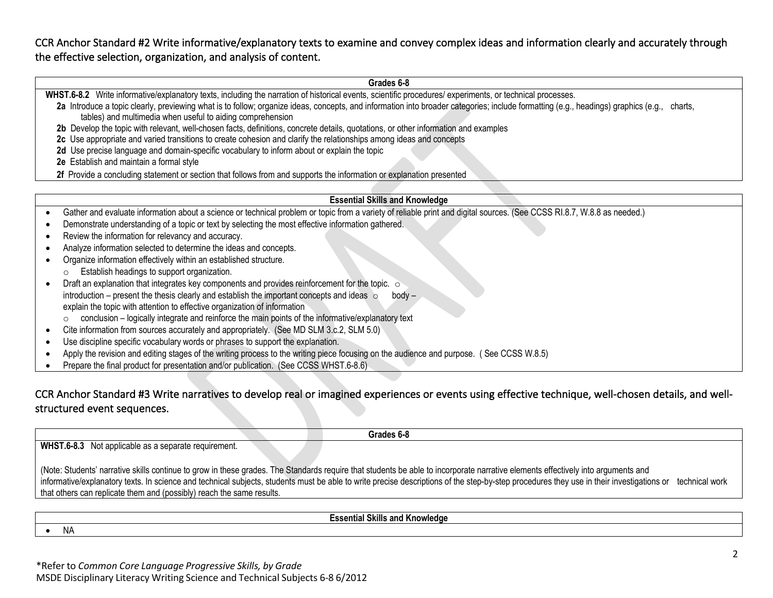CCR Anchor Standard #2 Write informative/explanatory texts to examine and convey complex ideas and information clearly and accurately through the effective selection, organization, and analysis of content.

**WHST.6-8.2** Write informative/explanatory texts, including the narration of historical events, scientific procedures/ experiments, or technical processes.

#### **Grades 6-8**

| WHOT.0-0.2 VING INDITIONING (EXDITION ) LEAS, INCLUDING THE HALFARDIT OF HISIONICAL EVENTS, SCIENTING DIOCEDUIES/ EXPENHENTS, OF LECHNICAL DIOCESSES.<br>2a Introduce a topic clearly, previewing what is to follow; organize ideas, concepts, and information into broader categories; include formatting (e.g., headings) graphics (e.g., charts,<br>tables) and multimedia when useful to aiding comprehension<br>2b Develop the topic with relevant, well-chosen facts, definitions, concrete details, quotations, or other information and examples<br>2c Use appropriate and varied transitions to create cohesion and clarify the relationships among ideas and concepts<br>2d Use precise language and domain-specific vocabulary to inform about or explain the topic<br>2e Establish and maintain a formal style |  |
|----------------------------------------------------------------------------------------------------------------------------------------------------------------------------------------------------------------------------------------------------------------------------------------------------------------------------------------------------------------------------------------------------------------------------------------------------------------------------------------------------------------------------------------------------------------------------------------------------------------------------------------------------------------------------------------------------------------------------------------------------------------------------------------------------------------------------|--|
| 2f Provide a concluding statement or section that follows from and supports the information or explanation presented                                                                                                                                                                                                                                                                                                                                                                                                                                                                                                                                                                                                                                                                                                       |  |
|                                                                                                                                                                                                                                                                                                                                                                                                                                                                                                                                                                                                                                                                                                                                                                                                                            |  |
| <b>Essential Skills and Knowledge</b>                                                                                                                                                                                                                                                                                                                                                                                                                                                                                                                                                                                                                                                                                                                                                                                      |  |
| Gather and evaluate information about a science or technical problem or topic from a variety of reliable print and digital sources. (See CCSS RI.8.7, W.8.8 as needed.)                                                                                                                                                                                                                                                                                                                                                                                                                                                                                                                                                                                                                                                    |  |
| Demonstrate understanding of a topic or text by selecting the most effective information gathered.                                                                                                                                                                                                                                                                                                                                                                                                                                                                                                                                                                                                                                                                                                                         |  |
| Review the information for relevancy and accuracy.                                                                                                                                                                                                                                                                                                                                                                                                                                                                                                                                                                                                                                                                                                                                                                         |  |
| Analyze information selected to determine the ideas and concepts.                                                                                                                                                                                                                                                                                                                                                                                                                                                                                                                                                                                                                                                                                                                                                          |  |
| Organize information effectively within an established structure.                                                                                                                                                                                                                                                                                                                                                                                                                                                                                                                                                                                                                                                                                                                                                          |  |
| Establish headings to support organization.<br>$\circ$                                                                                                                                                                                                                                                                                                                                                                                                                                                                                                                                                                                                                                                                                                                                                                     |  |
| Draft an explanation that integrates key components and provides reinforcement for the topic. $\circ$                                                                                                                                                                                                                                                                                                                                                                                                                                                                                                                                                                                                                                                                                                                      |  |
| introduction – present the thesis clearly and establish the important concepts and ideas $\circ$<br>body –                                                                                                                                                                                                                                                                                                                                                                                                                                                                                                                                                                                                                                                                                                                 |  |
| explain the topic with attention to effective organization of information                                                                                                                                                                                                                                                                                                                                                                                                                                                                                                                                                                                                                                                                                                                                                  |  |
| conclusion - logically integrate and reinforce the main points of the informative/explanatory text                                                                                                                                                                                                                                                                                                                                                                                                                                                                                                                                                                                                                                                                                                                         |  |
| Cite information from sources accurately and appropriately. (See MD SLM 3.c.2, SLM 5.0)                                                                                                                                                                                                                                                                                                                                                                                                                                                                                                                                                                                                                                                                                                                                    |  |
| Use discipline specific vocabulary words or phrases to support the explanation.                                                                                                                                                                                                                                                                                                                                                                                                                                                                                                                                                                                                                                                                                                                                            |  |
| Apply the revision and editing stages of the writing process to the writing piece focusing on the audience and purpose. (See CCSS W.8.5)                                                                                                                                                                                                                                                                                                                                                                                                                                                                                                                                                                                                                                                                                   |  |
| Prepare the final product for presentation and/or publication. (See CCSS WHST.6-8.6)                                                                                                                                                                                                                                                                                                                                                                                                                                                                                                                                                                                                                                                                                                                                       |  |

### CCR Anchor Standard #3 Write narratives to develop real or imagined experiences or events using effective technique, well-chosen details, and wellstructured event sequences.

**Grades 6-8 WHST.6-8.3** Not applicable as a separate requirement. (Note: Students' narrative skills continue to grow in these grades. The Standards require that students be able to incorporate narrative elements effectively into arguments and informative/explanatory texts. In science and technical subjects, students must be able to write precise descriptions of the step-by-step procedures they use in their investigations or technical work that others can replicate them and (possibly) reach the same results.

**Essential Skills and Knowledge**

• NA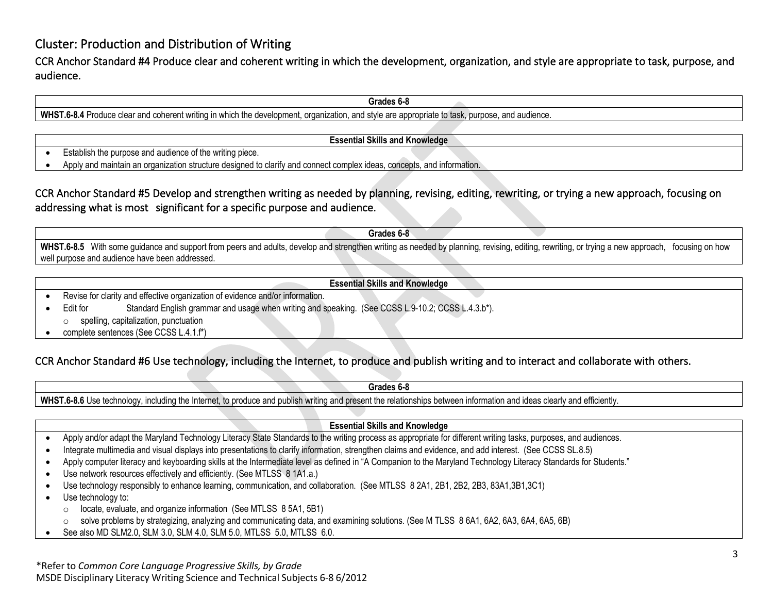### Cluster: Production and Distribution of Writing

CCR Anchor Standard #4 Produce clear and coherent writing in which the development, organization, and style are appropriate to task, purpose, and audience.

**Grades 6-8**

**WHST.6-8.4** Produce clear and coherent writing in which the development, organization, and style are appropriate to task, purpose, and audience.

**Essential Skills and Knowledge**

- Establish the purpose and audience of the writing piece.
- Apply and maintain an organization structure designed to clarify and connect complex ideas, concepts, and information.

### CCR Anchor Standard #5 Develop and strengthen writing as needed by planning, revising, editing, rewriting, or trying a new approach, focusing on addressing what is most significant for a specific purpose and audience.

**Grades 6-8** WHST.6-8.5 With some guidance and support from peers and adults, develop and strengthen writing as needed by planning, revising, editing, rewriting, or trying a new approach, focusing on how well purpose and audience have been addressed.

**Essential Skills and Knowledge**

- Revise for clarity and effective organization of evidence and/or information.
- Edit for Standard English grammar and usage when writing and speaking. (See CCSS L.9-10.2; CCSS L.4.3.b\*). o spelling, capitalization, punctuation
- complete sentences (See CCSS L.4.1.f\*)

### CCR Anchor Standard #6 Use technology, including the Internet, to produce and publish writing and to interact and collaborate with others.

**Grades 6-8**

**WHST.6-8.6** Use technology, including the Internet, to produce and publish writing and present the relationships between information and ideas clearly and efficiently.

#### **Essential Skills and Knowledge**

- Apply and/or adapt the Maryland Technology Literacy State Standards to the writing process as appropriate for different writing tasks, purposes, and audiences.
- Integrate multimedia and visual displays into presentations to clarify information, strengthen claims and evidence, and add interest. (See CCSS SL.8.5)
- Apply computer literacy and keyboarding skills at the Intermediate level as defined in "A Companion to the Maryland Technology Literacy Standards for Students."
- Use network resources effectively and efficiently. (See MTLSS 8 1A1.a.)
- Use technology responsibly to enhance learning, communication, and collaboration. (See MTLSS 8 2A1, 2B1, 2B2, 2B3, 83A1,3B1,3C1)
- Use technology to:
	- o locate, evaluate, and organize information (See MTLSS 8 5A1, 5B1)
	- o solve problems by strategizing, analyzing and communicating data, and examining solutions. (See M TLSS 8 6A1, 6A2, 6A3, 6A4, 6A5, 6B)
- See also MD SLM2.0, SLM 3.0, SLM 4.0, SLM 5.0, MTLSS 5.0, MTLSS 6.0.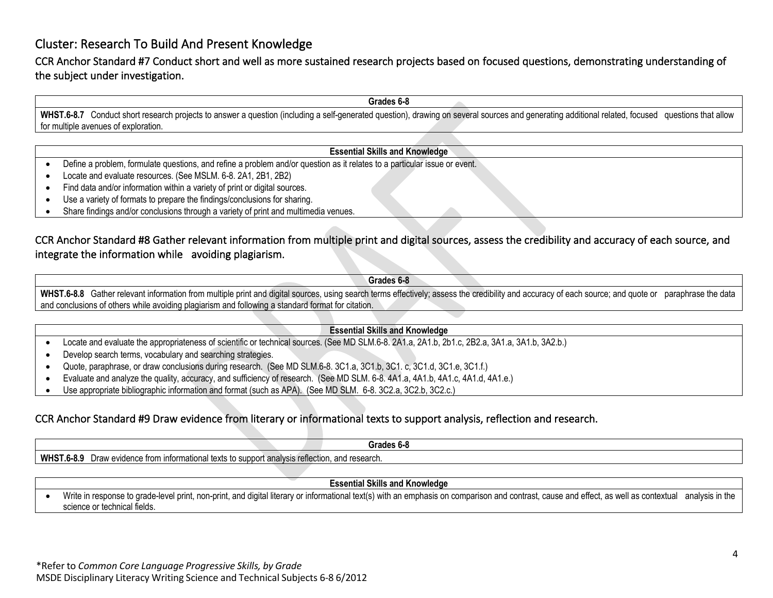### Cluster: Research To Build And Present Knowledge

CCR Anchor Standard #7 Conduct short and well as more sustained research projects based on focused questions, demonstrating understanding of the subject under investigation.

**Grades 6-8**

WHST.6-8.7 Conduct short research projects to answer a question (including a self-generated question), drawing on several sources and generating additional related, focused questions that allow for multiple avenues of exploration.

#### **Essential Skills and Knowledge**

- Define a problem, formulate questions, and refine a problem and/or question as it relates to a particular issue or event.
- Locate and evaluate resources. (See MSLM. 6-8. 2A1, 2B1, 2B2)
- Find data and/or information within a variety of print or digital sources.
- Use a variety of formats to prepare the findings/conclusions for sharing.
- Share findings and/or conclusions through a variety of print and multimedia venues.

### CCR Anchor Standard #8 Gather relevant information from multiple print and digital sources, assess the credibility and accuracy of each source, and integrate the information while avoiding plagiarism.

**Grades 6-8**

WHST.6-8.8 Gather relevant information from multiple print and digital sources, using search terms effectively; assess the credibility and accuracy of each source; and quote or paraphrase the data and conclusions of others while avoiding plagiarism and following a standard format for citation.

#### **Essential Skills and Knowledge**

- Locate and evaluate the appropriateness of scientific or technical sources. (See MD SLM.6-8. 2A1.a, 2A1.b, 2b1.c, 2B2.a, 3A1.a, 3A1.b, 3A2.b.)
- Develop search terms, vocabulary and searching strategies.
- Quote, paraphrase, or draw conclusions during research. (See MD SLM.6-8. 3C1.a, 3C1.b, 3C1. c, 3C1.d, 3C1.e, 3C1.f.)
- Evaluate and analyze the quality, accuracy, and sufficiency of research. (See MD SLM. 6-8. 4A1.a, 4A1.b, 4A1.c, 4A1.d, 4A1.e.)
- Use appropriate bibliographic information and format (such as APA). (See MD SLM. 6-8. 3C2.a, 3C2.b, 3C2.c.)

### CCR Anchor Standard #9 Draw evidence from literary or informational texts to support analysis, reflection and research.

| .<br>rages b-8.                                                                                              |  |
|--------------------------------------------------------------------------------------------------------------|--|
| <b>WHST.6-8.9</b><br>and research.<br>Draw evide<br>informationa<br>$-$<br>rotle<br>. aliaivələ<br>10100001. |  |

#### **Essential Skills and Knowledge**

• Write in response to grade-level print, non-print, and digital literary or informational text(s) with an emphasis on comparison and contrast, cause and effect, as well as contextual analysis in the science or technical fields.